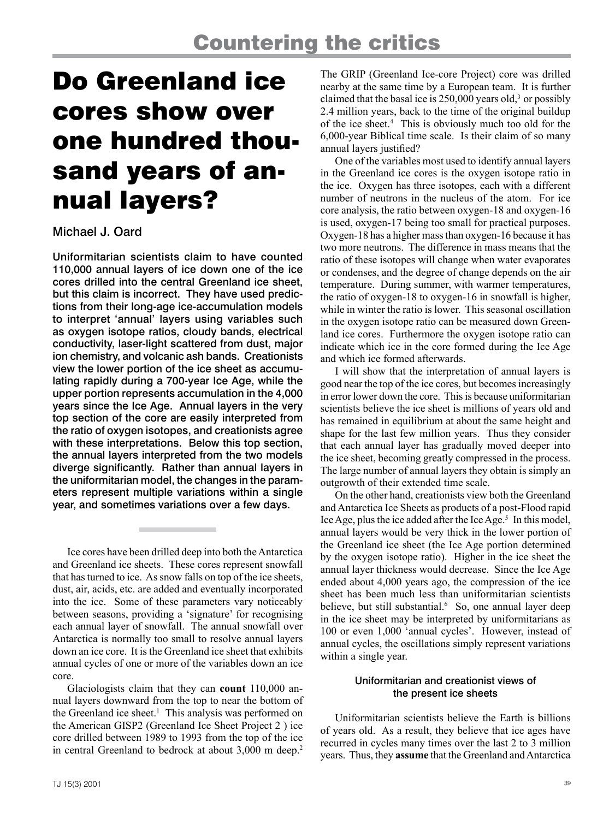# Do Greenland ice cores show over one hundred thousand years of annual layers?

## Michael J. Oard

Uniformitarian scientists claim to have counted 110,000 annual layers of ice down one of the ice cores drilled into the central Greenland ice sheet, but this claim is incorrect. They have used predictions from their long-age ice-accumulation models to interpret 'annual' layers using variables such as oxygen isotope ratios, cloudy bands, electrical conductivity, laser-light scattered from dust, major ion chemistry, and volcanic ash bands. Creationists view the lower portion of the ice sheet as accumulating rapidly during a 700-year Ice Age, while the upper portion represents accumulation in the 4,000 years since the Ice Age. Annual layers in the very top section of the core are easily interpreted from the ratio of oxygen isotopes, and creationists agree with these interpretations. Below this top section, the annual layers interpreted from the two models diverge significantly. Rather than annual layers in the uniformitarian model, the changes in the parameters represent multiple variations within a single year, and sometimes variations over a few days.

Ice cores have been drilled deep into both the Antarctica and Greenland ice sheets. These cores represent snowfall that has turned to ice. As snow falls on top of the ice sheets, dust, air, acids, etc. are added and eventually incorporated into the ice. Some of these parameters vary noticeably between seasons, providing a 'signature' for recognising each annual layer of snowfall. The annual snowfall over Antarctica is normally too small to resolve annual layers down an ice core. It is the Greenland ice sheet that exhibits annual cycles of one or more of the variables down an ice core.

Glaciologists claim that they can **count** 110,000 annual layers downward from the top to near the bottom of the Greenland ice sheet.<sup>1</sup> This analysis was performed on the American GISP2 (Greenland Ice Sheet Project 2 ) ice core drilled between 1989 to 1993 from the top of the ice in central Greenland to bedrock at about 3,000 m deep.<sup>2</sup>

The GRIP (Greenland Ice-core Project) core was drilled nearby at the same time by a European team. It is further claimed that the basal ice is  $250,000$  years old,<sup>3</sup> or possibly 2.4 million years, back to the time of the original buildup of the ice sheet.4 This is obviously much too old for the 6,000-year Biblical time scale. Is their claim of so many annual layers justified?

One of the variables most used to identify annual layers in the Greenland ice cores is the oxygen isotope ratio in the ice. Oxygen has three isotopes, each with a different number of neutrons in the nucleus of the atom. For ice core analysis, the ratio between oxygen-18 and oxygen-16 is used, oxygen-17 being too small for practical purposes. Oxygen-18 has a higher mass than oxygen-16 because it has two more neutrons. The difference in mass means that the ratio of these isotopes will change when water evaporates or condenses, and the degree of change depends on the air temperature. During summer, with warmer temperatures, the ratio of oxygen-18 to oxygen-16 in snowfall is higher, while in winter the ratio is lower. This seasonal oscillation in the oxygen isotope ratio can be measured down Greenland ice cores. Furthermore the oxygen isotope ratio can indicate which ice in the core formed during the Ice Age and which ice formed afterwards.

I will show that the interpretation of annual layers is good near the top of the ice cores, but becomes increasingly in error lower down the core. This is because uniformitarian scientists believe the ice sheet is millions of years old and has remained in equilibrium at about the same height and shape for the last few million years. Thus they consider that each annual layer has gradually moved deeper into the ice sheet, becoming greatly compressed in the process. The large number of annual layers they obtain is simply an outgrowth of their extended time scale.

On the other hand, creationists view both the Greenland and Antarctica Ice Sheets as products of a post-Flood rapid Ice Age, plus the ice added after the Ice Age.<sup>5</sup> In this model, annual layers would be very thick in the lower portion of the Greenland ice sheet (the Ice Age portion determined by the oxygen isotope ratio). Higher in the ice sheet the annual layer thickness would decrease. Since the Ice Age ended about 4,000 years ago, the compression of the ice sheet has been much less than uniformitarian scientists believe, but still substantial.<sup>6</sup> So, one annual layer deep in the ice sheet may be interpreted by uniformitarians as 100 or even 1,000 'annual cycles'. However, instead of annual cycles, the oscillations simply represent variations within a single year.

### Uniformitarian and creationist views of the present ice sheets

Uniformitarian scientists believe the Earth is billions of years old. As a result, they believe that ice ages have recurred in cycles many times over the last 2 to 3 million years. Thus, they **assume** that the Greenland and Antarctica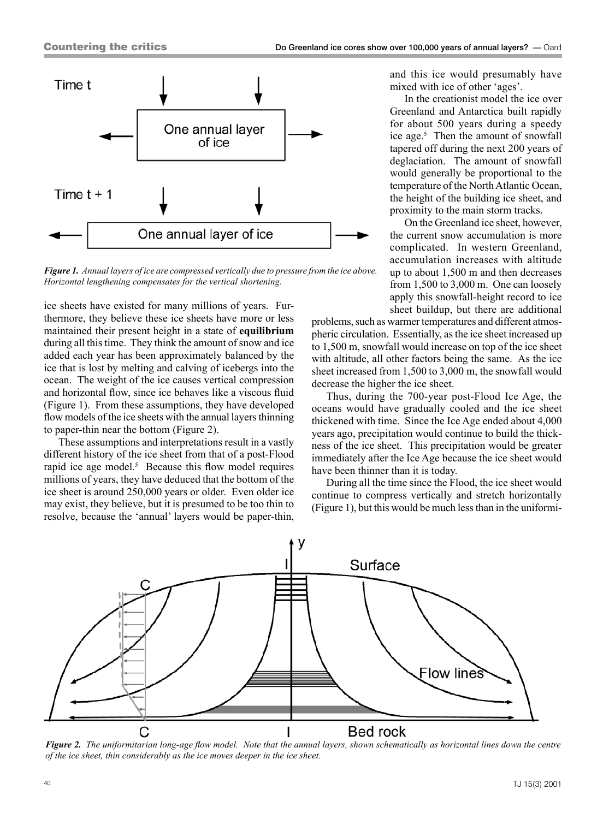

*Figure 1. Annual layers of ice are compressed vertically due to pressure from the ice above. Horizontal lengthening compensates for the vertical shortening.*

ice sheets have existed for many millions of years. Furthermore, they believe these ice sheets have more or less maintained their present height in a state of **equilibrium** during all this time. They think the amount of snow and ice added each year has been approximately balanced by the ice that is lost by melting and calving of icebergs into the ocean. The weight of the ice causes vertical compression and horizontal flow, since ice behaves like a viscous fluid (Figure 1). From these assumptions, they have developed flow models of the ice sheets with the annual layers thinning to paper-thin near the bottom (Figure 2).

These assumptions and interpretations result in a vastly different history of the ice sheet from that of a post-Flood rapid ice age model. $5$  Because this flow model requires millions of years, they have deduced that the bottom of the ice sheet is around 250,000 years or older. Even older ice may exist, they believe, but it is presumed to be too thin to resolve, because the 'annual' layers would be paper-thin,

and this ice would presumably have mixed with ice of other 'ages'.

In the creationist model the ice over Greenland and Antarctica built rapidly for about 500 years during a speedy ice age.<sup>5</sup> Then the amount of snowfall tapered off during the next 200 years of deglaciation. The amount of snowfall would generally be proportional to the temperature of the North Atlantic Ocean, the height of the building ice sheet, and proximity to the main storm tracks.

On the Greenland ice sheet, however, the current snow accumulation is more complicated. In western Greenland, accumulation increases with altitude up to about 1,500 m and then decreases from 1,500 to 3,000 m. One can loosely apply this snowfall-height record to ice sheet buildup, but there are additional

problems, such as warmer temperatures and different atmospheric circulation. Essentially, as the ice sheet increased up to 1,500 m, snowfall would increase on top of the ice sheet with altitude, all other factors being the same. As the ice sheet increased from 1,500 to 3,000 m, the snowfall would decrease the higher the ice sheet.

Thus, during the 700-year post-Flood Ice Age, the oceans would have gradually cooled and the ice sheet thickened with time. Since the Ice Age ended about 4,000 years ago, precipitation would continue to build the thickness of the ice sheet. This precipitation would be greater immediately after the Ice Age because the ice sheet would have been thinner than it is today.

During all the time since the Flood, the ice sheet would continue to compress vertically and stretch horizontally (Figure 1), but this would be much less than in the uniformi-



*Figure 2. The uniformitarian long-age flow model. Note that the annual layers, shown schematically as horizontal lines down the centre of the ice sheet, thin considerably as the ice moves deeper in the ice sheet.*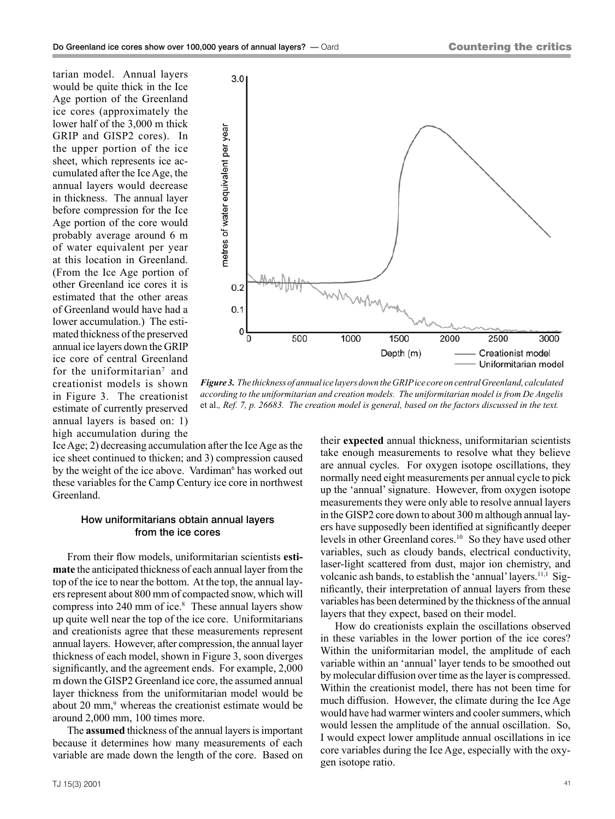tarian model. Annual layers would be quite thick in the Ice Age portion of the Greenland ice cores (approximately the lower half of the 3,000 m thick GRIP and GISP2 cores). In the upper portion of the ice sheet, which represents ice accumulated after the Ice Age, the annual layers would decrease in thickness. The annual layer before compression for the Ice Age portion of the core would probably average around 6 m of water equivalent per year at this location in Greenland. (From the Ice Age portion of other Greenland ice cores it is estimated that the other areas of Greenland would have had a lower accumulation.) The estimated thickness of the preserved annual ice layers down the GRIP ice core of central Greenland for the uniformitarian<sup>7</sup> and creationist models is shown in Figure 3. The creationist estimate of currently preserved annual layers is based on: 1) high accumulation during the



*Figure 3. The thickness of annual ice layers down the GRIP ice core on central Greenland, calculated according to the uniformitarian and creation models. The uniformitarian model is from De Angelis*  et al.*, Ref. 7, p. 26683. The creation model is general, based on the factors discussed in the text.*

Ice Age; 2) decreasing accumulation after the Ice Age as the ice sheet continued to thicken; and 3) compression caused by the weight of the ice above. Vardiman<sup>6</sup> has worked out these variables for the Camp Century ice core in northwest Greenland.

#### How uniformitarians obtain annual layers from the ice cores

From their flow models, uniformitarian scientists **estimate** the anticipated thickness of each annual layer from the top of the ice to near the bottom. At the top, the annual layers represent about 800 mm of compacted snow, which will compress into 240 mm of ice.<sup>8</sup> These annual layers show up quite well near the top of the ice core. Uniformitarians and creationists agree that these measurements represent annual layers. However, after compression, the annual layer thickness of each model, shown in Figure 3, soon diverges significantly, and the agreement ends. For example, 2,000 m down the GISP2 Greenland ice core, the assumed annual layer thickness from the uniformitarian model would be about 20 mm,<sup>9</sup> whereas the creationist estimate would be around 2,000 mm, 100 times more.

The **assumed** thickness of the annual layers is important because it determines how many measurements of each variable are made down the length of the core. Based on their **expected** annual thickness, uniformitarian scientists take enough measurements to resolve what they believe are annual cycles. For oxygen isotope oscillations, they normally need eight measurements per annual cycle to pick up the 'annual' signature. However, from oxygen isotope measurements they were only able to resolve annual layers in the GISP2 core down to about 300 m although annual layers have supposedly been identified at significantly deeper levels in other Greenland cores.10 So they have used other variables, such as cloudy bands, electrical conductivity, laser-light scattered from dust, major ion chemistry, and volcanic ash bands, to establish the 'annual' layers.<sup>11,1</sup> Significantly, their interpretation of annual layers from these variables has been determined by the thickness of the annual layers that they expect, based on their model.

How do creationists explain the oscillations observed in these variables in the lower portion of the ice cores? Within the uniformitarian model, the amplitude of each variable within an 'annual' layer tends to be smoothed out by molecular diffusion over time as the layer is compressed. Within the creationist model, there has not been time for much diffusion. However, the climate during the Ice Age would have had warmer winters and cooler summers, which would lessen the amplitude of the annual oscillation. So, I would expect lower amplitude annual oscillations in ice core variables during the Ice Age, especially with the oxygen isotope ratio.